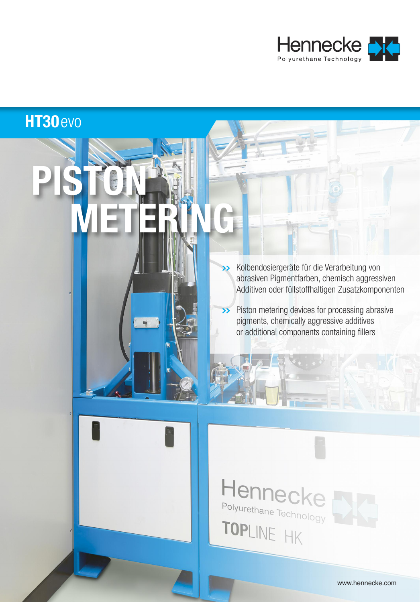

### **HT30**evo

**PISTON**

**METERING**

**>>** Kolbendosiergeräte für die Verarbeitung von abrasiven Pigmentfarben, chemisch aggressiven Additiven oder füllstoffhaltigen Zusatzkomponenten

**>>** Piston metering devices for processing abrasive pigments, chemically aggressive additives or additional components containing fillers

# Hennec Polyurethane Technology TOPLINE HK

www.hennecke.com